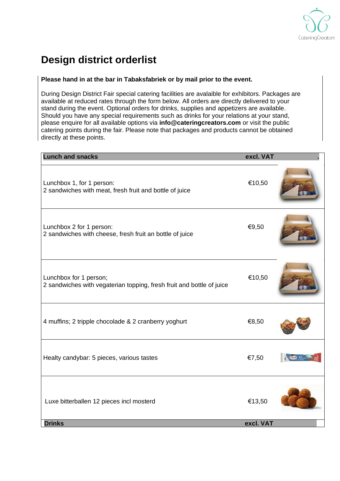

## **Design district orderlist**

## **Please hand in at the bar in Tabaksfabriek or by mail prior to the event.**

During Design District Fair special catering facilities are avalaible for exhibitors. Packages are available at reduced rates through the form below. All orders are directly delivered to your stand during the event. Optional orders for drinks, supplies and appetizers are available. Should you have any special requirements such as drinks for your relations at your stand, please enquire for all available options via **info@cateringcreators.com** or visit the public catering points during the fair. Please note that packages and products cannot be obtained directly at these points.

| <b>Lunch and snacks</b>                                                                         | excl. VAT           |  |
|-------------------------------------------------------------------------------------------------|---------------------|--|
| Lunchbox 1, for 1 person:<br>2 sandwiches with meat, fresh fruit and bottle of juice            | €10,50              |  |
| Lunchbox 2 for 1 person:<br>2 sandwiches with cheese, fresh fruit an bottle of juice            | €9,50               |  |
| Lunchbox for 1 person;<br>2 sandwiches with vegaterian topping, fresh fruit and bottle of juice | €10,50              |  |
| 4 muffins; 2 tripple chocolade & 2 cranberry yoghurt                                            | €8,50               |  |
| Healty candybar: 5 pieces, various tastes                                                       | €7,50               |  |
| Luxe bitterballen 12 pieces incl mosterd<br><b>Drinks</b>                                       | €13,50<br>excl. VAT |  |
|                                                                                                 |                     |  |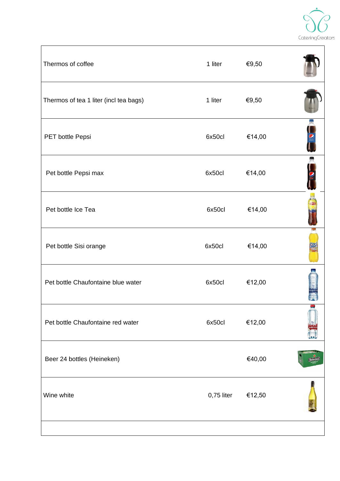

| Thermos of coffee                      | 1 liter    | €9,50  |  |
|----------------------------------------|------------|--------|--|
| Thermos of tea 1 liter (incl tea bags) | 1 liter    | €9,50  |  |
| PET bottle Pepsi                       | 6x50cl     | €14,00 |  |
| Pet bottle Pepsi max                   | 6x50cl     | €14,00 |  |
| Pet bottle Ice Tea                     | 6x50cl     | €14,00 |  |
| Pet bottle Sisi orange                 | 6x50cl     | €14,00 |  |
| Pet bottle Chaufontaine blue water     | 6x50cl     | €12,00 |  |
| Pet bottle Chaufontaine red water      | 6x50cl     | €12,00 |  |
| Beer 24 bottles (Heineken)             |            | €40,00 |  |
| Wine white                             | 0,75 liter | €12,50 |  |
|                                        |            |        |  |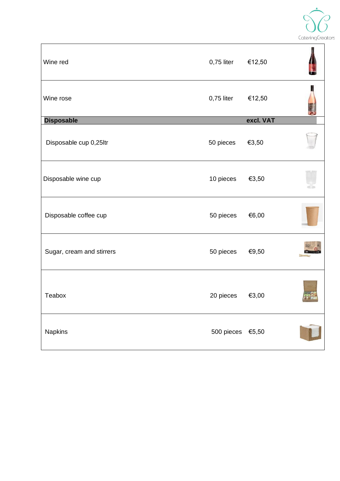

| Wine red                  | 0,75 liter       | €12,50    |                |
|---------------------------|------------------|-----------|----------------|
| Wine rose                 | $0,75$ liter     | €12,50    |                |
| <b>Disposable</b>         |                  | excl. VAT |                |
| Disposable cup 0,25ltr    | 50 pieces        | €3,50     |                |
| Disposable wine cup       | 10 pieces        | €3,50     |                |
| Disposable coffee cup     | 50 pieces        | €6,00     |                |
| Sugar, cream and stirrers | 50 pieces        | €9,50     |                |
| Teabox                    | 20 pieces        | €3,00     | <u>oras – </u> |
| Napkins                   | 500 pieces €5,50 |           |                |
|                           |                  |           |                |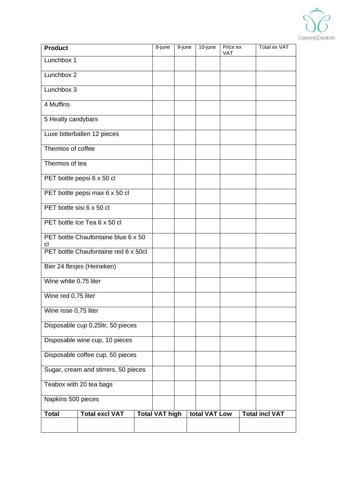

| <b>Product</b>                       |                                      |  | 8-june                | 9-june | 10-june       | Price ex<br><b>VAT</b> |  | Total ex VAT          |
|--------------------------------------|--------------------------------------|--|-----------------------|--------|---------------|------------------------|--|-----------------------|
| Lunchbox 1                           |                                      |  |                       |        |               |                        |  |                       |
| Lunchbox 2                           |                                      |  |                       |        |               |                        |  |                       |
| Lunchbox 3                           |                                      |  |                       |        |               |                        |  |                       |
| 4 Muffins                            |                                      |  |                       |        |               |                        |  |                       |
| 5 Healty candybars                   |                                      |  |                       |        |               |                        |  |                       |
|                                      | Luxe bitterballen 12 pieces          |  |                       |        |               |                        |  |                       |
| Thermos of coffee                    |                                      |  |                       |        |               |                        |  |                       |
| Thermos of tea                       |                                      |  |                       |        |               |                        |  |                       |
|                                      | PET bottle pepsi 6 x 50 cl           |  |                       |        |               |                        |  |                       |
|                                      | PET bottle pepsi max 6 x 50 cl       |  |                       |        |               |                        |  |                       |
| PET bottle sisi 6 x 50 cl            |                                      |  |                       |        |               |                        |  |                       |
|                                      | PET bottle Ice Tea 6 x 50 cl         |  |                       |        |               |                        |  |                       |
| cl                                   | PET bottle Chaufontaine blue 6 x 50  |  |                       |        |               |                        |  |                       |
|                                      | PET bottle Chaufontaine red 6 x 50cl |  |                       |        |               |                        |  |                       |
|                                      | Bier 24 flesjes (Heineken)           |  |                       |        |               |                        |  |                       |
| Wine white 0,75 liter                |                                      |  |                       |        |               |                        |  |                       |
| Wine red 0,75 liter                  |                                      |  |                       |        |               |                        |  |                       |
| Wine rose 0,75 liter                 |                                      |  |                       |        |               |                        |  |                       |
|                                      | Disposable cup 0,25ltr, 50 pieces    |  |                       |        |               |                        |  |                       |
|                                      | Disposable wine cup, 10 pieces       |  |                       |        |               |                        |  |                       |
| Disposable coffee cup, 50 pieces     |                                      |  |                       |        |               |                        |  |                       |
| Sugar, cream and stirrers, 50 pieces |                                      |  |                       |        |               |                        |  |                       |
| Teabox with 20 tea bags              |                                      |  |                       |        |               |                        |  |                       |
| Napkins 500 pieces                   |                                      |  |                       |        |               |                        |  |                       |
| <b>Total</b>                         | <b>Total excl VAT</b>                |  | <b>Total VAT high</b> |        | total VAT Low |                        |  | <b>Total incl VAT</b> |
|                                      |                                      |  |                       |        |               |                        |  |                       |